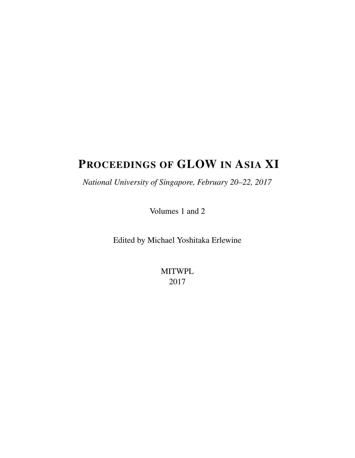# PROCEEDINGS OF GLOW IN ASIA XI

*National University of Singapore, February 20–22, 2017*

Volumes 1 and 2

Edited by Michael Yoshitaka Erlewine

MITWPL 2017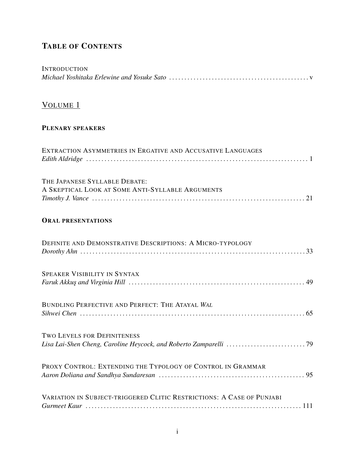### TABLE OF CONTENTS

| <b>INTRODUCTION</b>                                                               |
|-----------------------------------------------------------------------------------|
| VOLUME 1                                                                          |
| PLENARY SPEAKERS                                                                  |
| EXTRACTION ASYMMETRIES IN ERGATIVE AND ACCUSATIVE LANGUAGES                       |
| THE JAPANESE SYLLABLE DEBATE:<br>A SKEPTICAL LOOK AT SOME ANTI-SYLLABLE ARGUMENTS |
| <b>ORAL PRESENTATIONS</b>                                                         |
| <b>DEFINITE AND DEMONSTRATIVE DESCRIPTIONS: A MICRO-TYPOLOGY</b>                  |
| <b>SPEAKER VISIBILITY IN SYNTAX</b>                                               |
| BUNDLING PERFECTIVE AND PERFECT: THE ATAYAL WAL                                   |
| <b>TWO LEVELS FOR DEFINITENESS</b>                                                |
| PROXY CONTROL: EXTENDING THE TYPOLOGY OF CONTROL IN GRAMMAR                       |
| VARIATION IN SUBJECT-TRIGGERED CLITIC RESTRICTIONS: A CASE OF PUNJABI             |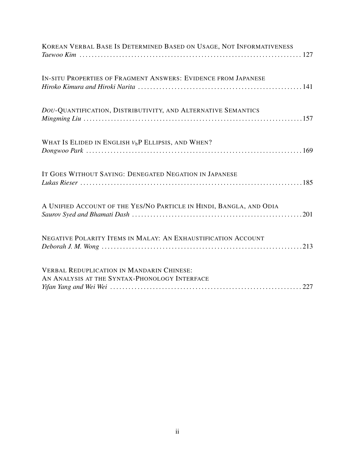| KOREAN VERBAL BASE IS DETERMINED BASED ON USAGE, NOT INFORMATIVENESS                              |
|---------------------------------------------------------------------------------------------------|
| IN-SITU PROPERTIES OF FRAGMENT ANSWERS: EVIDENCE FROM JAPANESE                                    |
| DOU-QUANTIFICATION, DISTRIBUTIVITY, AND ALTERNATIVE SEMANTICS                                     |
| WHAT IS ELIDED IN ENGLISH $V_b$ P ELLIPSIS, AND WHEN?                                             |
| IT GOES WITHOUT SAYING: DENEGATED NEGATION IN JAPANESE                                            |
| A UNIFIED ACCOUNT OF THE YES/NO PARTICLE IN HINDI, BANGLA, AND ODIA                               |
| NEGATIVE POLARITY ITEMS IN MALAY: AN EXHAUSTIFICATION ACCOUNT                                     |
| <b>VERBAL REDUPLICATION IN MANDARIN CHINESE:</b><br>AN ANALYSIS AT THE SYNTAX-PHONOLOGY INTERFACE |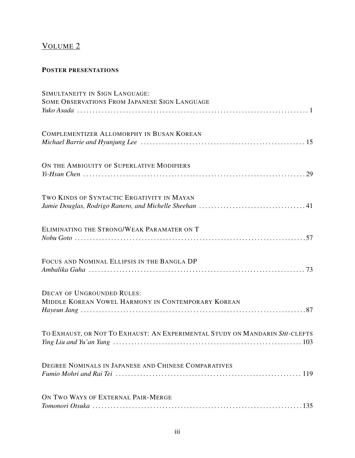## VOLUME 2

#### POSTER PRESENTATIONS

| SIMULTANEITY IN SIGN LANGUAGE:                                                          |
|-----------------------------------------------------------------------------------------|
| SOME OBSERVATIONS FROM JAPANESE SIGN LANGUAGE                                           |
| COMPLEMENTIZER ALLOMORPHY IN BUSAN KOREAN                                               |
| ON THE AMBIGUITY OF SUPERLATIVE MODIFIERS                                               |
| TWO KINDS OF SYNTACTIC ERGATIVITY IN MAYAN                                              |
| ELIMINATING THE STRONG/WEAK PARAMATER ON T                                              |
| FOCUS AND NOMINAL ELLIPSIS IN THE BANGLA DP                                             |
| <b>DECAY OF UNGROUNDED RULES:</b><br>MIDDLE KOREAN VOWEL HARMONY IN CONTEMPORARY KOREAN |
| TO EXHAUST, OR NOT TO EXHAUST: AN EXPERIMENTAL STUDY ON MANDARIN SHI-CLEFTS             |
| DEGREE NOMINALS IN JAPANESE AND CHINESE COMPARATIVES                                    |
| ON TWO WAYS OF EXTERNAL PAIR-MERGE                                                      |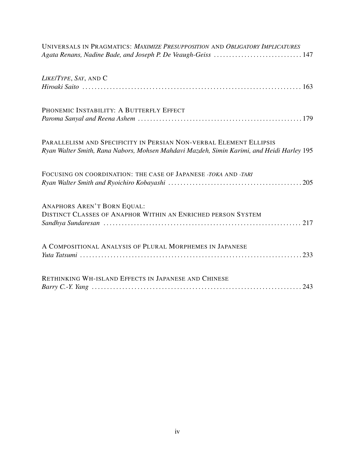| UNIVERSALS IN PRAGMATICS: MAXIMIZE PRESUPPOSITION AND OBLIGATORY IMPLICATURES                                                                                   |
|-----------------------------------------------------------------------------------------------------------------------------------------------------------------|
| LIKE/TYPE, SAY, AND C                                                                                                                                           |
| PHONEMIC INSTABILITY: A BUTTERFLY EFFECT                                                                                                                        |
| PARALLELISM AND SPECIFICITY IN PERSIAN NON-VERBAL ELEMENT ELLIPSIS<br>Ryan Walter Smith, Rana Nabors, Mohsen Mahdavi Mazdeh, Simin Karimi, and Heidi Harley 195 |
| FOCUSING ON COORDINATION: THE CASE OF JAPANESE -TOKA AND -TARI                                                                                                  |
| <b>ANAPHORS AREN'T BORN EQUAL:</b><br>DISTINCT CLASSES OF ANAPHOR WITHIN AN ENRICHED PERSON SYSTEM                                                              |
| A COMPOSITIONAL ANALYSIS OF PLURAL MORPHEMES IN JAPANESE                                                                                                        |
| RETHINKING WH-ISLAND EFFECTS IN JAPANESE AND CHINESE                                                                                                            |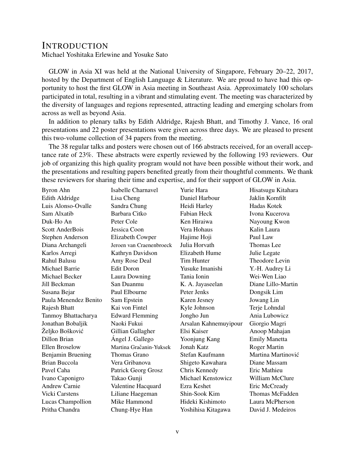### **INTRODUCTION**

Michael Yoshitaka Erlewine and Yosuke Sato

GLOW in Asia XI was held at the National University of Singapore, February 20–22, 2017, hosted by the Department of English Language & Literature. We are proud to have had this opportunity to host the first GLOW in Asia meeting in Southeast Asia. Approximately 100 scholars participated in total, resulting in a vibrant and stimulating event. The meeting was characterized by the diversity of languages and regions represented, attracting leading and emerging scholars from across as well as beyond Asia.

In addition to plenary talks by Edith Aldridge, Rajesh Bhatt, and Timothy J. Vance, 16 oral presentations and 22 poster presentations were given across three days. We are pleased to present this two-volume collection of 34 papers from the meeting.

The 38 regular talks and posters were chosen out of 166 abstracts received, for an overall acceptance rate of 23%. These abstracts were expertly reviewed by the following 193 reviewers. Our job of organizing this high quality program would not have been possible without their work, and the presentations and resulting papers benefited greatly from their thoughtful comments. We thank these reviewers for sharing their time and expertise, and for their support of GLOW in Asia.

| Byron Ahn             | Isabelle Charnavel         | Yurie Hara            | Hisatsugu Kitahara     |
|-----------------------|----------------------------|-----------------------|------------------------|
| Edith Aldridge        | Lisa Cheng                 | Daniel Harbour        | Jaklin Kornfilt        |
| Luis Alonso-Ovalle    | Sandra Chung               | Heidi Harley          | Hadas Kotek            |
| Sam Alxatib           | Barbara Citko              | Fabian Heck           | Ivona Kucerova         |
| Duk-Ho An             | Peter Cole                 | Ken Hiraiwa           | Nayoung Kwon           |
| Scott AnderBois       | Jessica Coon               | Vera Hohaus           | Kalin Laura            |
| Stephen Anderson      | Elizabeth Cowper           | Hajime Hoji           | Paul Law               |
| Diana Archangeli      | Jeroen van Craenenbroeck   | Julia Horvath         | Thomas Lee             |
| Karlos Arregi         | Kathryn Davidson           | Elizabeth Hume        | Julie Legate           |
| Rahul Balusu          | Amy Rose Deal              | Tim Hunter            | Theodore Levin         |
| Michael Barrie        | <b>Edit Doron</b>          | Yusuke Imanishi       | Y.-H. Audrey Li        |
| Michael Becker        | Laura Downing              | Tania Ionin           | Wei-Wen Liao           |
| Jill Beckman          | San Duanmu                 | K. A. Jayaseelan      | Diane Lillo-Martin     |
| Susana Bejar          | Paul Elbourne              | Peter Jenks           | Dongsik Lim            |
| Paula Menendez Benito | Sam Epstein                | Karen Jesney          | Jowang Lin             |
| Rajesh Bhatt          | Kai von Fintel             | Kyle Johnson          | Terje Lohndal          |
| Tanmoy Bhattacharya   | <b>Edward Flemming</b>     | Jongho Jun            | Ania Lubowicz          |
| Jonathan Bobaljik     | Naoki Fukui                | Arsalan Kahnemuyipour | Giorgio Magri          |
| Željko Bošković       | Gillian Gallagher          | Elsi Kaiser           | Anoop Mahajan          |
| Dillon Brian          | Ángel J. Gallego           | Yoonjung Kang         | <b>Emily Manetta</b>   |
| <b>Ellen Broselow</b> | Martina Gračanin-Yuksek    | Jonah Katz            | <b>Roger Martin</b>    |
| Benjamin Bruening     | Thomas Grano               | Stefan Kaufmann       | Martina Martinović     |
| <b>Brian Buccola</b>  | Vera Gribanova             | Shigeto Kawahara      | Diane Massam           |
| Pavel Caha            | <b>Patrick Georg Grosz</b> | Chris Kennedy         | Eric Mathieu           |
| Ivano Caponigro       | Takao Gunji                | Michael Kenstowicz    | William McClure        |
| <b>Andrew Carnie</b>  | Valentine Hacquard         | Ezra Keshet           | Eric McCready          |
| <b>Vicki Carstens</b> | Liliane Haegeman           | Shin-Sook Kim         | <b>Thomas McFadden</b> |
| Lucas Champollion     | Mike Hammond               | Hideki Kishimoto      | Laura McPherson        |
| Pritha Chandra        | Chung-Hye Han              | Yoshihisa Kitagawa    | David J. Medeiros      |